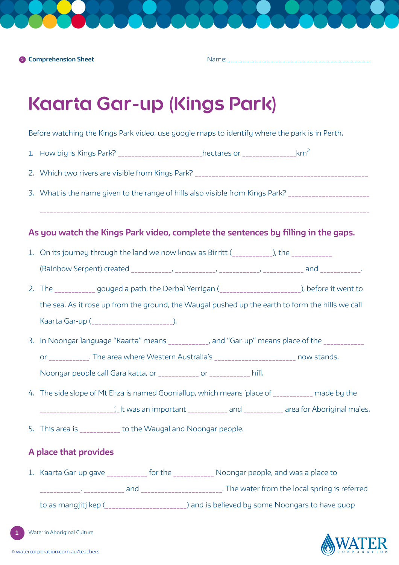Name:

# **Kaarta Gar-up (Kings Park)**

Before watching the Kings Park video, use google maps to identify where the park is in Perth.

- 1. How big is Kings Park? \_\_\_\_\_\_\_\_\_\_\_\_\_\_\_\_\_\_\_\_\_\_\_\_hectares or \_\_\_\_\_\_\_\_\_\_\_\_\_\_\_\_\_\_km<sup>2</sup>
- 2. Which two rivers are visible from Kings Park?
- 3. What is the name given to the range of hills also visible from Kings Park?

## **As you watch the Kings Park video, complete the sentences by filling in the gaps.**

- 1. On its journey through the land we now know as Birritt (encoded by the  $\Box$ ), the
	- (Rainbow Serpent) created \_\_\_\_\_\_\_\_\_\_\_\_, \_\_\_\_\_\_\_\_\_\_\_\_, \_\_\_\_\_\_\_\_\_\_\_\_, \_\_\_\_\_\_\_\_\_\_\_\_ and \_\_\_\_\_\_\_\_\_\_\_\_.
- 2. The gouged a path, the Derbal Yerrigan (\_\_\_\_\_\_\_\_\_\_\_\_\_\_\_\_\_\_\_\_\_\_), before it went to the sea. As it rose up from the ground, the Waugal pushed up the earth to form the hills we call Kaarta Gar-up (\_\_\_\_\_\_\_\_\_\_\_\_\_\_\_\_\_\_\_\_\_\_\_\_).
- 3. In Noongar language "Kaarta" means \_\_\_\_\_\_\_\_\_\_\_, and "Gar-up" means place of the \_\_\_\_\_\_\_\_\_\_\_\_ or \_\_\_\_\_\_\_\_\_\_\_. The area where Western Australia's \_\_\_\_\_\_\_\_\_\_\_\_\_\_\_\_\_\_\_\_\_\_\_\_\_\_\_\_ now stands,

Noongar people call Gara katta, or \_\_\_\_\_\_\_\_\_\_\_\_ or \_\_\_\_\_\_\_\_\_\_\_\_\_ hill.

- 4. The side slope of Mt Eliza is named Gooniallup, which means 'place of made by the \_\_\_\_\_\_\_\_\_\_\_\_\_\_\_\_\_\_\_\_\_\_\_\_'. It was an important \_\_\_\_\_\_\_\_\_\_\_\_ and \_\_\_\_\_\_\_\_\_\_\_\_ area for Aboriginal males.
- 5. This area is to the Waugal and Noongar people.

## **A place that provides**

1. Kaarta Gar-up gave \_\_\_\_\_\_\_\_\_\_\_\_ for the \_\_\_\_\_\_\_\_\_\_\_\_ Noongar people, and was a place to \_\_\_\_\_\_\_\_\_\_\_\_, \_\_\_\_\_\_\_\_\_\_\_\_ and \_\_\_\_\_\_\_\_\_\_\_\_\_\_\_\_\_\_\_\_\_\_\_\_. The water from the local spring is referred to as mangjitj kep (\_\_\_\_\_\_\_\_\_\_\_\_\_\_\_\_\_\_\_\_\_\_\_\_\_) and is believed by some Noongars to have quop

Water in Aboriginal Culture

**1**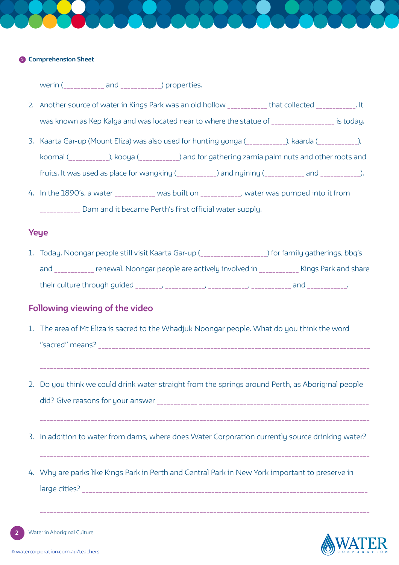### **Comprehension Sheet**

werin (\_\_\_\_\_\_\_\_\_\_\_\_ and \_\_\_\_\_\_\_\_\_\_\_\_) properties.

- 2. Another source of water in Kings Park was an old hollow \_\_\_\_\_\_\_\_\_\_\_\_ that collected \_\_\_\_\_\_\_\_\_\_\_\_. It was known as Kep Kalga and was located near to where the statue of where the statue of
- 3. Kaarta Gar-up (Mount Eliza) was also used for hunting yonga (electronic bundarda (electronic), koomal (\_\_\_\_\_\_\_\_\_\_\_\_), kooya (\_\_\_\_\_\_\_\_\_\_\_\_) and for gathering zamia palm nuts and other roots and fruits. It was used as place for wangkiny (example 20 and nyininy (example 20 and  $\qquad$  ).
- 4. In the 1890's, a water \_\_\_\_\_\_\_\_\_\_\_\_ was built on \_\_\_\_\_\_\_\_\_\_\_, water was pumped into it from Dam and it became Perth's first official water supply.

## **Yeye**

1. Today, Noongar people still visit Kaarta Gar-up (\_\_\_\_\_\_\_\_\_\_\_\_\_\_\_\_\_\_\_\_) for family gatherings, bbq's and \_\_\_\_\_\_\_\_\_\_\_ renewal. Noongar people are actively involved in \_\_\_\_\_\_\_\_\_\_\_\_ Kings Park and share their culture through guided \_\_\_\_\_\_\_\_, \_\_\_\_\_\_\_\_\_\_\_\_, \_\_\_\_\_\_\_\_\_\_\_\_, \_\_\_\_\_\_\_\_\_\_\_\_ and \_\_\_\_\_\_\_\_\_\_\_\_.

## **Following viewing of the video**

- 1. The area of Mt Eliza is sacred to the Whadjuk Noongar people. What do you think the word "sacred" means? \_\_\_\_\_\_\_\_\_\_\_\_\_\_\_\_\_\_\_\_\_\_\_\_\_\_\_\_\_\_\_\_\_\_\_\_\_\_\_\_\_\_\_\_\_\_\_\_\_\_\_\_\_\_\_\_\_\_\_\_\_\_\_\_\_\_\_\_\_\_\_\_\_\_\_\_\_\_\_\_
- 2. Do you think we could drink water straight from the springs around Perth, as Aboriginal people did? Give reasons for your answer \_\_\_\_\_\_\_\_\_\_\_\_ \_\_\_\_\_\_\_\_\_\_\_\_\_\_\_\_\_\_\_\_\_\_\_\_\_\_\_\_\_\_\_\_\_\_\_\_\_\_\_\_\_\_\_\_\_\_\_\_\_\_
- 3. In addition to water from dams, where does Water Corporation currently source drinking water?
- 4. Why are parks like Kings Park in Perth and Central Park in New York important to preserve in large cities? \_\_\_\_\_\_\_\_\_\_\_\_\_\_\_\_\_\_\_\_\_\_\_\_\_\_\_\_\_\_\_\_\_\_\_\_\_\_\_\_\_\_\_\_\_\_\_\_\_\_\_\_\_\_\_\_\_\_\_\_\_\_\_\_\_\_\_\_\_\_\_\_\_\_\_\_\_\_\_\_\_\_\_\_

**2** Water in Aboriginal Culture